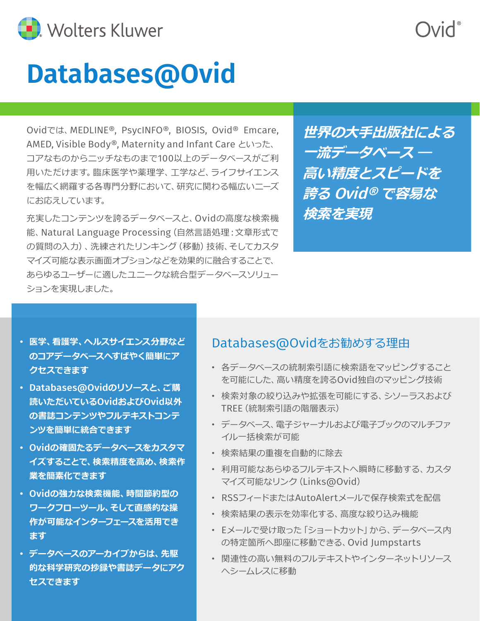

# **Databases@Ovid**

Ovidでは、MEDLINE®, PsycINFO®, BIOSIS, Ovid® Emcare, AMED, Visible Body®, Maternity and Infant Care といった、 コアなものからニッチなものまで100以上のデータベースがご利 用いただけます。臨床医学や薬理学、工学など、ライフサイエンス を幅広く網羅する各専門分野において、研究に関わる幅広いニーズ にお応えしています。

充実したコンテンツを誇るデータベースと、Ovidの高度な検索機 能、Natural Language Processing (自然言語処理: 文章形式で の質問の入力)、洗練されたリンキング(移動)技術、そしてカスタ マイズ可能な表示画面オプションなどを効果的に融合することで、 あらゆるユーザーに適したユニークな統合型データベースソリュー ションを実現しました。

**世界の大手出版社による 一流データベース ― 高い精度とスピードを 誇る** Ovid® **で容易な 検索を実現**

- **医学、看護学、ヘルスサイエンス分野など のコアデータベースへすばやく簡単にア クセスできます**
- Databases@Ovid**のリソースと、ご購 読いただいている**Ovid**および**Ovid**以外 の書誌コンテンツやフルテキストコンテ ンツを簡単に統合できます**
- Ovid**の確固たるデータベースをカスタマ イズすることで、検索精度を高め、検索作 業を簡素化できます**
- Ovid**の強力な検索機能、時間節約型の ワークフローツール、そして直感的な操 作が可能なインターフェースを活用でき ます**
- **データベースのアーカイブからは、先駆 的な科学研究の抄録や書誌データにアク セスできます**

#### Databases@Ovidをお勧めする理由

- 各データベースの統制索引語に検索語をマッピングすること を可能にした、高い精度を誇るOvid独自のマッピング技術
- 検索対象の絞り込みや拡張を可能にする、シソーラスおよび TREE(統制索引語の階層表示)
- データベース、電子ジャーナルおよび電子ブックのマルチファ イル一括検索が可能
- 検索結果の重複を自動的に除去
- 利用可能なあらゆるフルテキストへ瞬時に移動する、カスタ マイズ可能なリンク(Links@Ovid)
- RSSフィードまたはAutoAlertメールで保存検索式を配信
- 検索結果の表示を効率化する、高度な絞り込み機能
- Eメールで受け取った「ショートカット」から、データベース内 の特定箇所へ即座に移動できる、Ovid Jumpstarts
- 関連性の高い無料のフルテキストやインターネットリソース へシームレスに移動